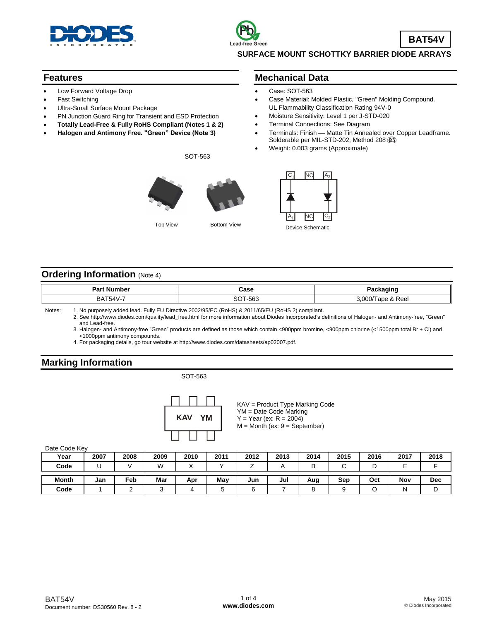

### **Features**

- Low Forward Voltage Drop
- Fast Switching
- Ultra-Small Surface Mount Package
- PN Junction Guard Ring for Transient and ESD Protection
- **Totally Lead-Free & Fully RoHS Compliant (Notes 1 & 2)**
- **Halogen and Antimony Free. "Green" Device (Note 3)**

SOT-563



# **Mechanical Data**

- Case: SOT-563
- Case Material: Molded Plastic, "Green" Molding Compound. UL Flammability Classification Rating 94V-0
- Moisture Sensitivity: Level 1 per J-STD-020
- Terminal Connections: See Diagram
- Terminals: Finish Matte Tin Annealed over Copper Leadframe. Solderable per MIL-STD-202, Method 208  $@3$
- Weight: 0.003 grams (Approximate)



## **Ordering Information (Note 4)**

| ː Number<br>יar         | Case                       | .           |
|-------------------------|----------------------------|-------------|
| BAT <sub>5</sub><br>AAU | <b>00+</b><br>ECO.<br>ึงบน | Reel<br>റററ |

Notes: 1. No purposely added lead. Fully EU Directive 2002/95/EC (RoHS) & 2011/65/EU (RoHS 2) compliant.

2. See [http://www.diodes.com/quality/lead\\_free.html](http://www.diodes.com/quality/lead_free.html) for more information about Diodes Incorporated's definitions of Halogen- and Antimony-free, "Green" and Lead-free.

3. Halogen- and Antimony-free "Green" products are defined as those which contain <900ppm bromine, <900ppm chlorine (<1500ppm total Br + Cl) and <1000ppm antimony compounds.

4. For packaging details, go tour website at [http://www.diodes.com/datasheets/ap02007.pdf.](http://www.diodes.com/datasheets/ap02007.pdf)

# **Marking Information**

### SOT-563



KAV = Product Type Marking Code YM = Date Code Marking  $Y = Year (ex: R = 2004)$ M = Month (ex: 9 = September)

Date Code Key

| Year         | 2007 | 2008 | 2009   | 2010 | 2011 | 2012 | 2013 | 2014 | 2015 | 2016 | 2017        | 2018       |
|--------------|------|------|--------|------|------|------|------|------|------|------|-------------|------------|
| Code         |      |      | W      |      |      |      |      | B    |      |      | -<br>⊢<br>╌ |            |
| <b>Month</b> | Jan  | Feb  | Mar    | Apr  | May  | Jun  | Jul  | Aug  | Sep  | Oct  | Nov         | <b>Dec</b> |
| Code         |      |      | $\sim$ |      |      |      |      |      |      |      | N           | ັ          |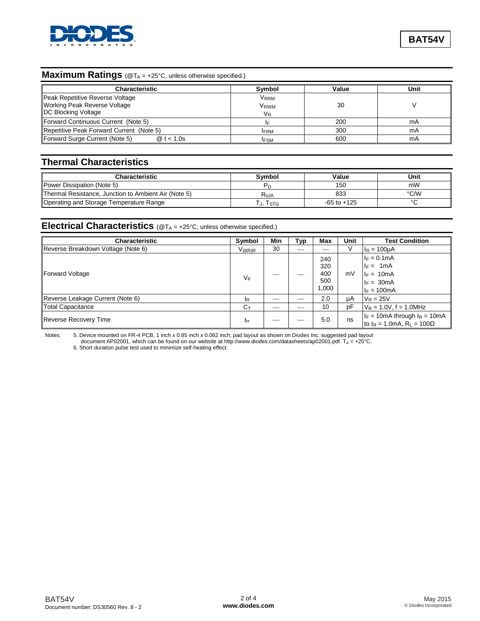

## **Maximum Ratings** (@T<sub>A</sub> = +25°C, unless otherwise specified.)

| <b>Characteristic</b>                                                                          | Symbol                                                 | Value | Unit |
|------------------------------------------------------------------------------------------------|--------------------------------------------------------|-------|------|
| Peak Repetitive Reverse Voltage<br>Working Peak Reverse Voltage<br><b>IDC Blocking Voltage</b> | <b>V</b> <sub>RRM</sub><br>V <sub>RWM</sub><br>$V_{R}$ | 30    |      |
| Forward Continuous Current (Note 5)                                                            |                                                        | 200   | mA   |
| Repetitive Peak Forward Current (Note 5)                                                       | <b>IFRM</b>                                            | 300   | mA   |
| Forward Surge Current (Note 5)<br>@ $t < 1.0s$                                                 | <b>FSM</b>                                             | 600   | mA   |

# **Thermal Characteristics**

| Characteristic                                       | Svmbol           | Value           | Unit   |
|------------------------------------------------------|------------------|-----------------|--------|
| Power Dissipation (Note 5)                           |                  | 150             | mW     |
| Thermal Resistance, Junction to Ambient Air (Note 5) | R <sub>aja</sub> | 833             | °C/W   |
| Operating and Storage Temperature Range              | j, Istg          | $-65$ to $+125$ | $\sim$ |

## **Electrical Characteristics** (@T<sub>A</sub> = +25°C, unless otherwise specified.)

| Characteristic                     | Symbol           | Min | Typ | Max                               | Unit | <b>Test Condition</b>                                                                                 |
|------------------------------------|------------------|-----|-----|-----------------------------------|------|-------------------------------------------------------------------------------------------------------|
| Reverse Breakdown Voltage (Note 6) | $V_{(BR)R}$      | 30  |     |                                   | V    | $I_R = 100 \mu A$                                                                                     |
| Forward Voltage                    | VF               |     |     | 240<br>320<br>400<br>500<br>1,000 | mV   | $I_F = 0.1$ mA<br>$I_F = 1mA$<br>$I_F = 10mA$<br>$I_F = 30mA$<br>$I_F = 100mA$                        |
| Reverse Leakage Current (Note 6)   | <sup>IR</sup>    |     |     | 2.0                               | μA   | $V_R = 25V$                                                                                           |
| Total Capacitance                  | $C_{\mathsf{T}}$ |     |     | 10                                | рF   | $V_R = 1.0V$ , f = 1.0MHz                                                                             |
| Reverse Recovery Time              | $t_{rr}$         |     |     | 5.0                               | ns   | $I_F = 10 \text{mA}$ through $I_R = 10 \text{mA}$<br>to I <sub>R</sub> = 1.0mA, R <sub>I</sub> = 100Ω |

Notes: 5. Device mounted on FR-4 PCB, 1 inch x 0.85 inch x 0.062 inch; pad layout as shown on Diodes Inc. suggested pad layout document AP02001, which can be found on our website at [http://www.diodes.com/datasheets/ap02001.pdf. T](http://www.diodes.com/datasheets/ap02001.pdf)<sub>A</sub> = +25°C. 6. Short duration pulse test used to minimize self-heating effect.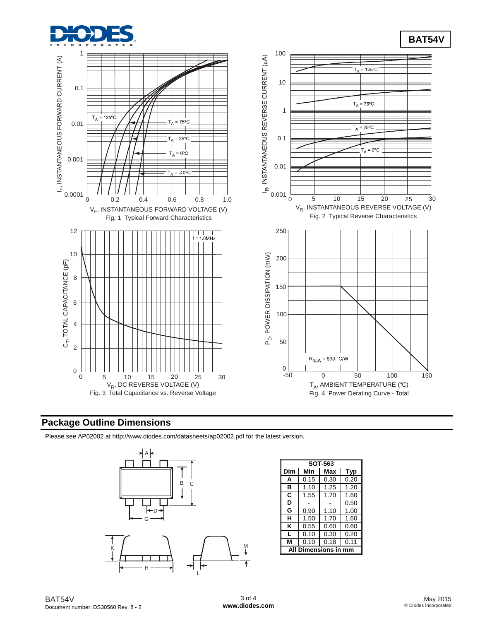



## **Package Outline Dimensions**

Please see AP02002 at [http://www.diodes.com/datasheets/ap02002.pdf fo](http://www.diodes.com/datasheets/ap02002.pdf)r the latest version.



| <b>SOT-563</b> |                |      |      |  |  |  |
|----------------|----------------|------|------|--|--|--|
| Dim            | Min            | Max  | Typ  |  |  |  |
| A              | 0.15           | 0.30 | 0.20 |  |  |  |
| в              | 1.10           | 1.25 | 1.20 |  |  |  |
| C              | 1.55           | 1.70 | 1.60 |  |  |  |
| D              |                |      | 0.50 |  |  |  |
| G              | 0.90           | 1.10 | 1.00 |  |  |  |
| н              | 1.50           | 1.70 | 1.60 |  |  |  |
| ĸ              | 0.55           | 0.60 | 0.60 |  |  |  |
| L              | 0.10           | 0.30 | 0.20 |  |  |  |
|                | 0.10           | 0.18 | 0.11 |  |  |  |
|                | mensions in mm |      |      |  |  |  |

**BAT54V**